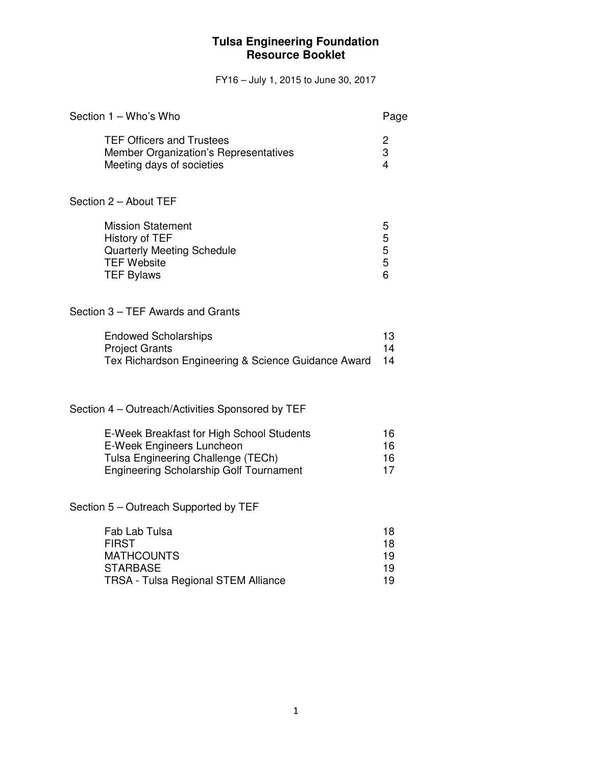FY16 – July 1, 2015 to June 30, 2017

| Section 1 - Who's Who                                                                                                                                                 |                              |  |  |
|-----------------------------------------------------------------------------------------------------------------------------------------------------------------------|------------------------------|--|--|
| <b>TEF Officers and Trustees</b><br>Member Organization's Representatives<br>Meeting days of societies                                                                | 2<br>3<br>$\overline{4}$     |  |  |
| Section 2 - About TEF                                                                                                                                                 |                              |  |  |
| <b>Mission Statement</b><br>History of TEF<br><b>Quarterly Meeting Schedule</b><br><b>TEF Website</b><br><b>TEF Bylaws</b>                                            | 5<br>5<br>$\frac{5}{5}$<br>6 |  |  |
| Section 3 - TEF Awards and Grants                                                                                                                                     |                              |  |  |
| <b>Endowed Scholarships</b><br><b>Project Grants</b><br>Tex Richardson Engineering & Science Guidance Award                                                           | 13<br>14<br>14               |  |  |
| Section 4 – Outreach/Activities Sponsored by TEF                                                                                                                      |                              |  |  |
| E-Week Breakfast for High School Students<br><b>E-Week Engineers Luncheon</b><br>Tulsa Engineering Challenge (TECh)<br><b>Engineering Scholarship Golf Tournament</b> | 16<br>16<br>16<br>17         |  |  |
| Section 5 – Outreach Supported by TEF                                                                                                                                 |                              |  |  |
| Fab Lab Tulsa<br><b>FIRST</b><br><b>MATHCOUNTS</b><br><b>STARBASE</b><br><b>TRSA - Tulsa Regional STEM Alliance</b>                                                   | 18<br>18<br>19<br>19<br>19   |  |  |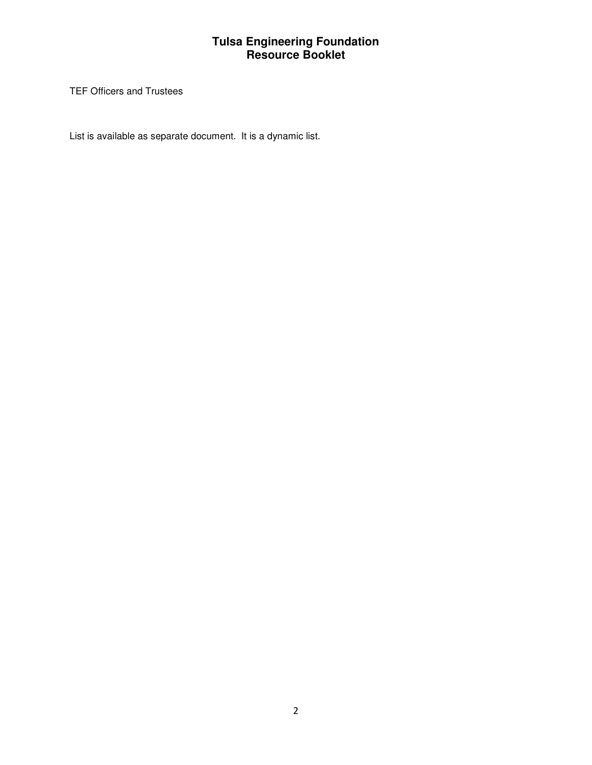TEF Officers and Trustees

List is available as separate document. It is a dynamic list.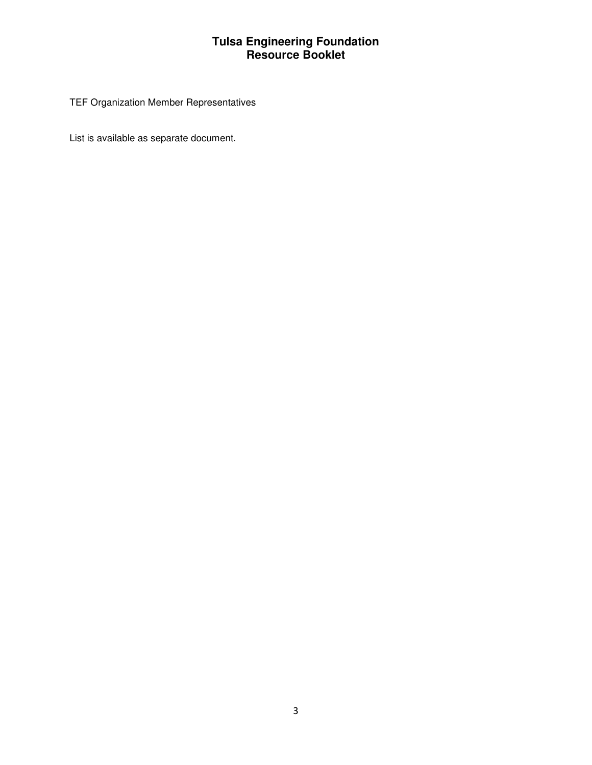# TEF Organization Member Representatives

List is available as separate document.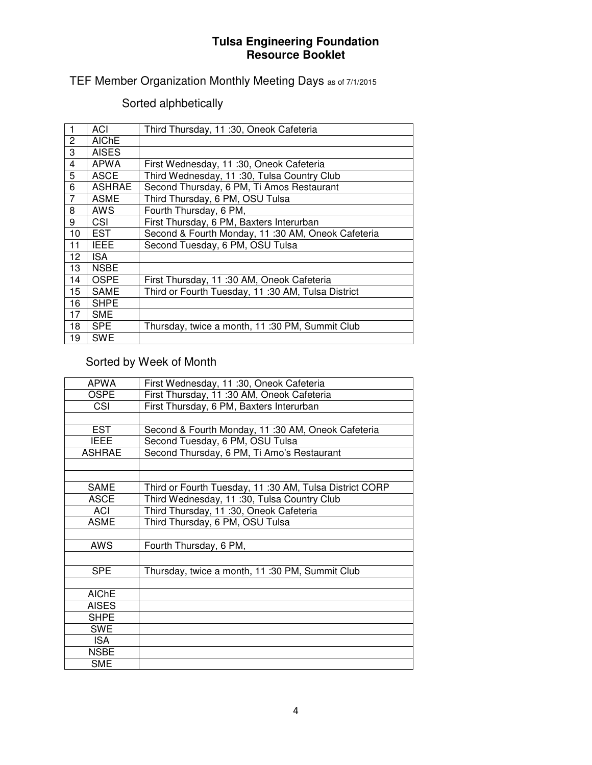TEF Member Organization Monthly Meeting Days as of 7/1/2015

# Sorted alphbetically

|    | ACI           | Third Thursday, 11 :30, Oneok Cafeteria           |
|----|---------------|---------------------------------------------------|
| 2  | <b>AIChE</b>  |                                                   |
| 3  | <b>AISES</b>  |                                                   |
| 4  | <b>APWA</b>   | First Wednesday, 11 :30, Oneok Cafeteria          |
| 5  | <b>ASCE</b>   | Third Wednesday, 11:30, Tulsa Country Club        |
| 6  | <b>ASHRAE</b> | Second Thursday, 6 PM, Ti Amos Restaurant         |
| 7  | <b>ASME</b>   | Third Thursday, 6 PM, OSU Tulsa                   |
| 8  | AWS           | Fourth Thursday, 6 PM,                            |
| 9  | CSI           | First Thursday, 6 PM, Baxters Interurban          |
| 10 | <b>EST</b>    | Second & Fourth Monday, 11:30 AM, Oneok Cafeteria |
| 11 | <b>IEEE</b>   | Second Tuesday, 6 PM, OSU Tulsa                   |
| 12 | <b>ISA</b>    |                                                   |
| 13 | <b>NSBE</b>   |                                                   |
| 14 | <b>OSPE</b>   | First Thursday, 11:30 AM, Oneok Cafeteria         |
| 15 | <b>SAME</b>   | Third or Fourth Tuesday, 11:30 AM, Tulsa District |
| 16 | <b>SHPE</b>   |                                                   |
| 17 | <b>SME</b>    |                                                   |
| 18 | <b>SPE</b>    | Thursday, twice a month, 11:30 PM, Summit Club    |
| 19 | <b>SWE</b>    |                                                   |

# Sorted by Week of Month

| <b>APWA</b>   | First Wednesday, 11 :30, Oneok Cafeteria               |
|---------------|--------------------------------------------------------|
| <b>OSPE</b>   | First Thursday, 11:30 AM, Oneok Cafeteria              |
| CSI           | First Thursday, 6 PM, Baxters Interurban               |
|               |                                                        |
| <b>EST</b>    | Second & Fourth Monday, 11:30 AM, Oneok Cafeteria      |
| <b>IEEE</b>   | Second Tuesday, 6 PM, OSU Tulsa                        |
| <b>ASHRAE</b> | Second Thursday, 6 PM, Ti Amo's Restaurant             |
|               |                                                        |
|               |                                                        |
| <b>SAME</b>   | Third or Fourth Tuesday, 11:30 AM, Tulsa District CORP |
| <b>ASCE</b>   | Third Wednesday, 11:30, Tulsa Country Club             |
| ACI           | Third Thursday, 11 :30, Oneok Cafeteria                |
| <b>ASME</b>   | Third Thursday, 6 PM, OSU Tulsa                        |
|               |                                                        |
| <b>AWS</b>    | Fourth Thursday, 6 PM,                                 |
|               |                                                        |
| <b>SPE</b>    | Thursday, twice a month, 11:30 PM, Summit Club         |
|               |                                                        |
| <b>AIChE</b>  |                                                        |
| <b>AISES</b>  |                                                        |
| <b>SHPE</b>   |                                                        |
| <b>SWE</b>    |                                                        |
| <b>ISA</b>    |                                                        |
| <b>NSBE</b>   |                                                        |
| <b>SME</b>    |                                                        |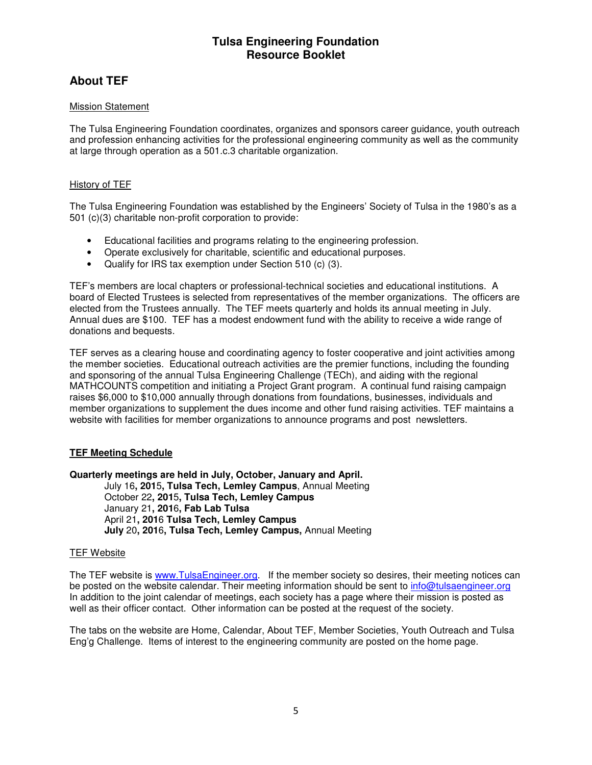# **About TEF**

### Mission Statement

The Tulsa Engineering Foundation coordinates, organizes and sponsors career guidance, youth outreach and profession enhancing activities for the professional engineering community as well as the community at large through operation as a 501.c.3 charitable organization.

### History of TEF

The Tulsa Engineering Foundation was established by the Engineers' Society of Tulsa in the 1980's as a 501 (c)(3) charitable non-profit corporation to provide:

- Educational facilities and programs relating to the engineering profession.
- Operate exclusively for charitable, scientific and educational purposes.
- Qualify for IRS tax exemption under Section 510 (c) (3).

TEF's members are local chapters or professional-technical societies and educational institutions. A board of Elected Trustees is selected from representatives of the member organizations. The officers are elected from the Trustees annually. The TEF meets quarterly and holds its annual meeting in July. Annual dues are \$100. TEF has a modest endowment fund with the ability to receive a wide range of donations and bequests.

TEF serves as a clearing house and coordinating agency to foster cooperative and joint activities among the member societies. Educational outreach activities are the premier functions, including the founding and sponsoring of the annual Tulsa Engineering Challenge (TECh), and aiding with the regional MATHCOUNTS competition and initiating a Project Grant program. A continual fund raising campaign raises \$6,000 to \$10,000 annually through donations from foundations, businesses, individuals and member organizations to supplement the dues income and other fund raising activities. TEF maintains a website with facilities for member organizations to announce programs and post newsletters.

### **TEF Meeting Schedule**

**Quarterly meetings are held in July, October, January and April.**

July 16**, 201**5**, Tulsa Tech, Lemley Campus**, Annual Meeting October 22**, 201**5**, Tulsa Tech, Lemley Campus** January 21**, 201**6**, Fab Lab Tulsa**  April 21**, 201**6 **Tulsa Tech, Lemley Campus July** 20**, 201**6**, Tulsa Tech, Lemley Campus,** Annual Meeting

#### TEF Website

The TEF website is www.TulsaEngineer.org. If the member society so desires, their meeting notices can be posted on the website calendar. Their meeting information should be sent to info@tulsaengineer.org In addition to the joint calendar of meetings, each society has a page where their mission is posted as well as their officer contact. Other information can be posted at the request of the society.

The tabs on the website are Home, Calendar, About TEF, Member Societies, Youth Outreach and Tulsa Eng'g Challenge. Items of interest to the engineering community are posted on the home page.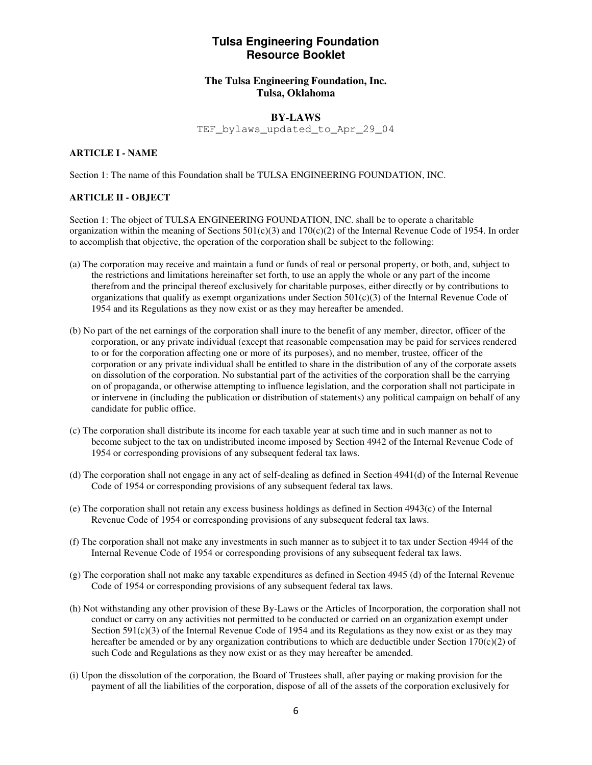### **The Tulsa Engineering Foundation, Inc. Tulsa, Oklahoma**

#### **BY-LAWS**

TEF\_bylaws\_updated\_to\_Apr\_29\_04

#### **ARTICLE I - NAME**

Section 1: The name of this Foundation shall be TULSA ENGINEERING FOUNDATION, INC.

#### **ARTICLE II - OBJECT**

Section 1: The object of TULSA ENGINEERING FOUNDATION, INC. shall be to operate a charitable organization within the meaning of Sections  $501(c)(3)$  and  $170(c)(2)$  of the Internal Revenue Code of 1954. In order to accomplish that objective, the operation of the corporation shall be subject to the following:

- (a) The corporation may receive and maintain a fund or funds of real or personal property, or both, and, subject to the restrictions and limitations hereinafter set forth, to use an apply the whole or any part of the income therefrom and the principal thereof exclusively for charitable purposes, either directly or by contributions to organizations that qualify as exempt organizations under Section  $501(c)(3)$  of the Internal Revenue Code of 1954 and its Regulations as they now exist or as they may hereafter be amended.
- (b) No part of the net earnings of the corporation shall inure to the benefit of any member, director, officer of the corporation, or any private individual (except that reasonable compensation may be paid for services rendered to or for the corporation affecting one or more of its purposes), and no member, trustee, officer of the corporation or any private individual shall be entitled to share in the distribution of any of the corporate assets on dissolution of the corporation. No substantial part of the activities of the corporation shall be the carrying on of propaganda, or otherwise attempting to influence legislation, and the corporation shall not participate in or intervene in (including the publication or distribution of statements) any political campaign on behalf of any candidate for public office.
- (c) The corporation shall distribute its income for each taxable year at such time and in such manner as not to become subject to the tax on undistributed income imposed by Section 4942 of the Internal Revenue Code of 1954 or corresponding provisions of any subsequent federal tax laws.
- (d) The corporation shall not engage in any act of self-dealing as defined in Section 4941(d) of the Internal Revenue Code of 1954 or corresponding provisions of any subsequent federal tax laws.
- (e) The corporation shall not retain any excess business holdings as defined in Section 4943(c) of the Internal Revenue Code of 1954 or corresponding provisions of any subsequent federal tax laws.
- (f) The corporation shall not make any investments in such manner as to subject it to tax under Section 4944 of the Internal Revenue Code of 1954 or corresponding provisions of any subsequent federal tax laws.
- (g) The corporation shall not make any taxable expenditures as defined in Section 4945 (d) of the Internal Revenue Code of 1954 or corresponding provisions of any subsequent federal tax laws.
- (h) Not withstanding any other provision of these By-Laws or the Articles of Incorporation, the corporation shall not conduct or carry on any activities not permitted to be conducted or carried on an organization exempt under Section 591(c)(3) of the Internal Revenue Code of 1954 and its Regulations as they now exist or as they may hereafter be amended or by any organization contributions to which are deductible under Section 170(c)(2) of such Code and Regulations as they now exist or as they may hereafter be amended.
- (i) Upon the dissolution of the corporation, the Board of Trustees shall, after paying or making provision for the payment of all the liabilities of the corporation, dispose of all of the assets of the corporation exclusively for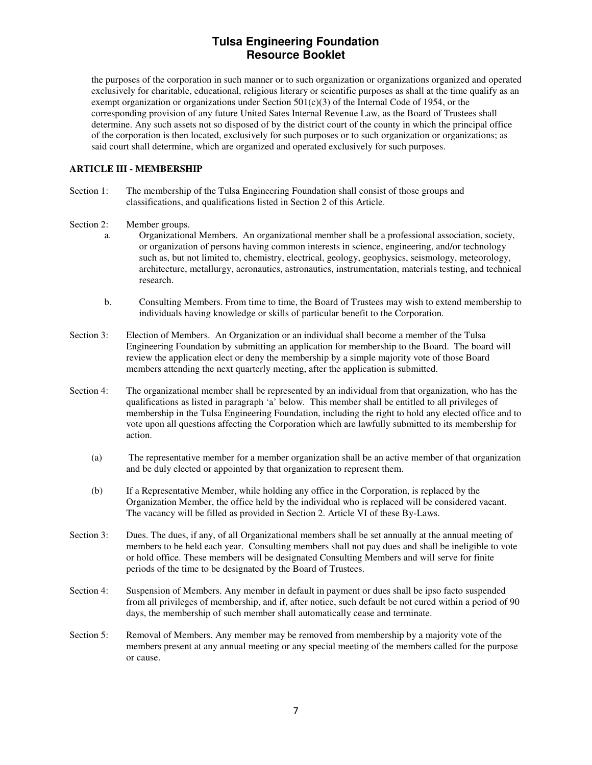the purposes of the corporation in such manner or to such organization or organizations organized and operated exclusively for charitable, educational, religious literary or scientific purposes as shall at the time qualify as an exempt organization or organizations under Section  $501(c)(3)$  of the Internal Code of 1954, or the corresponding provision of any future United Sates Internal Revenue Law, as the Board of Trustees shall determine. Any such assets not so disposed of by the district court of the county in which the principal office of the corporation is then located, exclusively for such purposes or to such organization or organizations; as said court shall determine, which are organized and operated exclusively for such purposes.

#### **ARTICLE III - MEMBERSHIP**

- Section 1: The membership of the Tulsa Engineering Foundation shall consist of those groups and classifications, and qualifications listed in Section 2 of this Article.
- Section 2: Member groups.
	- a. Organizational Members. An organizational member shall be a professional association, society, or organization of persons having common interests in science, engineering, and/or technology such as, but not limited to, chemistry, electrical, geology, geophysics, seismology, meteorology, architecture, metallurgy, aeronautics, astronautics, instrumentation, materials testing, and technical research.
	- b. Consulting Members. From time to time, the Board of Trustees may wish to extend membership to individuals having knowledge or skills of particular benefit to the Corporation.
- Section 3: Election of Members. An Organization or an individual shall become a member of the Tulsa Engineering Foundation by submitting an application for membership to the Board. The board will review the application elect or deny the membership by a simple majority vote of those Board members attending the next quarterly meeting, after the application is submitted.
- Section 4: The organizational member shall be represented by an individual from that organization, who has the qualifications as listed in paragraph 'a' below. This member shall be entitled to all privileges of membership in the Tulsa Engineering Foundation, including the right to hold any elected office and to vote upon all questions affecting the Corporation which are lawfully submitted to its membership for action.
	- (a) The representative member for a member organization shall be an active member of that organization and be duly elected or appointed by that organization to represent them.
	- (b) If a Representative Member, while holding any office in the Corporation, is replaced by the Organization Member, the office held by the individual who is replaced will be considered vacant. The vacancy will be filled as provided in Section 2. Article VI of these By-Laws.
- Section 3: Dues. The dues, if any, of all Organizational members shall be set annually at the annual meeting of members to be held each year. Consulting members shall not pay dues and shall be ineligible to vote or hold office. These members will be designated Consulting Members and will serve for finite periods of the time to be designated by the Board of Trustees.
- Section 4: Suspension of Members. Any member in default in payment or dues shall be ipso facto suspended from all privileges of membership, and if, after notice, such default be not cured within a period of 90 days, the membership of such member shall automatically cease and terminate.
- Section 5: Removal of Members. Any member may be removed from membership by a majority vote of the members present at any annual meeting or any special meeting of the members called for the purpose or cause.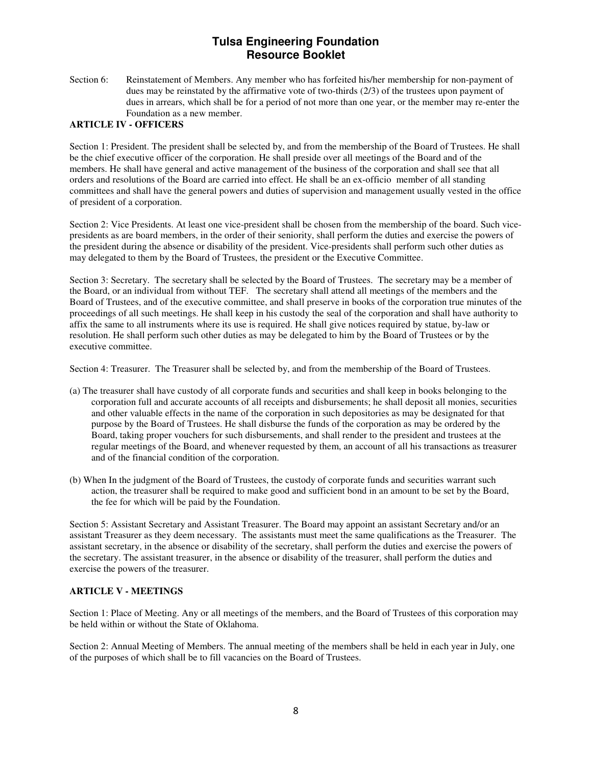Section 6: Reinstatement of Members. Any member who has forfeited his/her membership for non-payment of dues may be reinstated by the affirmative vote of two-thirds (2/3) of the trustees upon payment of dues in arrears, which shall be for a period of not more than one year, or the member may re-enter the Foundation as a new member.

#### **ARTICLE IV - OFFICERS**

Section 1: President. The president shall be selected by, and from the membership of the Board of Trustees. He shall be the chief executive officer of the corporation. He shall preside over all meetings of the Board and of the members. He shall have general and active management of the business of the corporation and shall see that all orders and resolutions of the Board are carried into effect. He shall be an ex-officio member of all standing committees and shall have the general powers and duties of supervision and management usually vested in the office of president of a corporation.

Section 2: Vice Presidents. At least one vice-president shall be chosen from the membership of the board. Such vicepresidents as are board members, in the order of their seniority, shall perform the duties and exercise the powers of the president during the absence or disability of the president. Vice-presidents shall perform such other duties as may delegated to them by the Board of Trustees, the president or the Executive Committee.

Section 3: Secretary. The secretary shall be selected by the Board of Trustees. The secretary may be a member of the Board, or an individual from without TEF. The secretary shall attend all meetings of the members and the Board of Trustees, and of the executive committee, and shall preserve in books of the corporation true minutes of the proceedings of all such meetings. He shall keep in his custody the seal of the corporation and shall have authority to affix the same to all instruments where its use is required. He shall give notices required by statue, by-law or resolution. He shall perform such other duties as may be delegated to him by the Board of Trustees or by the executive committee.

Section 4: Treasurer. The Treasurer shall be selected by, and from the membership of the Board of Trustees.

- (a) The treasurer shall have custody of all corporate funds and securities and shall keep in books belonging to the corporation full and accurate accounts of all receipts and disbursements; he shall deposit all monies, securities and other valuable effects in the name of the corporation in such depositories as may be designated for that purpose by the Board of Trustees. He shall disburse the funds of the corporation as may be ordered by the Board, taking proper vouchers for such disbursements, and shall render to the president and trustees at the regular meetings of the Board, and whenever requested by them, an account of all his transactions as treasurer and of the financial condition of the corporation.
- (b) When In the judgment of the Board of Trustees, the custody of corporate funds and securities warrant such action, the treasurer shall be required to make good and sufficient bond in an amount to be set by the Board, the fee for which will be paid by the Foundation.

Section 5: Assistant Secretary and Assistant Treasurer. The Board may appoint an assistant Secretary and/or an assistant Treasurer as they deem necessary. The assistants must meet the same qualifications as the Treasurer. The assistant secretary, in the absence or disability of the secretary, shall perform the duties and exercise the powers of the secretary. The assistant treasurer, in the absence or disability of the treasurer, shall perform the duties and exercise the powers of the treasurer.

#### **ARTICLE V - MEETINGS**

Section 1: Place of Meeting. Any or all meetings of the members, and the Board of Trustees of this corporation may be held within or without the State of Oklahoma.

Section 2: Annual Meeting of Members. The annual meeting of the members shall be held in each year in July, one of the purposes of which shall be to fill vacancies on the Board of Trustees.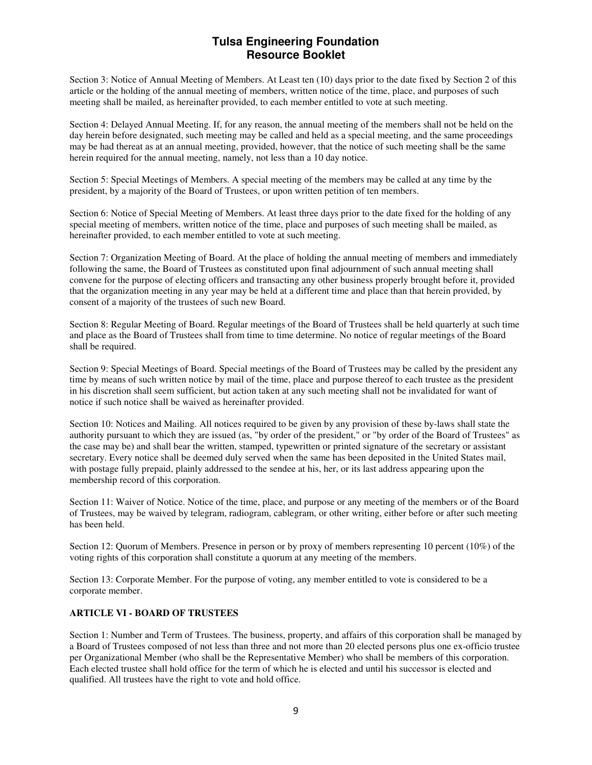Section 3: Notice of Annual Meeting of Members. At Least ten (10) days prior to the date fixed by Section 2 of this article or the holding of the annual meeting of members, written notice of the time, place, and purposes of such meeting shall be mailed, as hereinafter provided, to each member entitled to vote at such meeting.

Section 4: Delayed Annual Meeting. If, for any reason, the annual meeting of the members shall not be held on the day herein before designated, such meeting may be called and held as a special meeting, and the same proceedings may be had thereat as at an annual meeting, provided, however, that the notice of such meeting shall be the same herein required for the annual meeting, namely, not less than a 10 day notice.

Section 5: Special Meetings of Members. A special meeting of the members may be called at any time by the president, by a majority of the Board of Trustees, or upon written petition of ten members.

Section 6: Notice of Special Meeting of Members. At least three days prior to the date fixed for the holding of any special meeting of members, written notice of the time, place and purposes of such meeting shall be mailed, as hereinafter provided, to each member entitled to vote at such meeting.

Section 7: Organization Meeting of Board. At the place of holding the annual meeting of members and immediately following the same, the Board of Trustees as constituted upon final adjournment of such annual meeting shall convene for the purpose of electing officers and transacting any other business properly brought before it, provided that the organization meeting in any year may be held at a different time and place than that herein provided, by consent of a majority of the trustees of such new Board.

Section 8: Regular Meeting of Board. Regular meetings of the Board of Trustees shall be held quarterly at such time and place as the Board of Trustees shall from time to time determine. No notice of regular meetings of the Board shall be required.

Section 9: Special Meetings of Board. Special meetings of the Board of Trustees may be called by the president any time by means of such written notice by mail of the time, place and purpose thereof to each trustee as the president in his discretion shall seem sufficient, but action taken at any such meeting shall not be invalidated for want of notice if such notice shall be waived as hereinafter provided.

Section 10: Notices and Mailing. All notices required to be given by any provision of these by-laws shall state the authority pursuant to which they are issued (as, "by order of the president," or "by order of the Board of Trustees" as the case may be) and shall bear the written, stamped, typewritten or printed signature of the secretary or assistant secretary. Every notice shall be deemed duly served when the same has been deposited in the United States mail, with postage fully prepaid, plainly addressed to the sendee at his, her, or its last address appearing upon the membership record of this corporation.

Section 11: Waiver of Notice. Notice of the time, place, and purpose or any meeting of the members or of the Board of Trustees, may be waived by telegram, radiogram, cablegram, or other writing, either before or after such meeting has been held.

Section 12: Quorum of Members. Presence in person or by proxy of members representing 10 percent (10%) of the voting rights of this corporation shall constitute a quorum at any meeting of the members.

Section 13: Corporate Member. For the purpose of voting, any member entitled to vote is considered to be a corporate member.

#### **ARTICLE VI - BOARD OF TRUSTEES**

Section 1: Number and Term of Trustees. The business, property, and affairs of this corporation shall be managed by a Board of Trustees composed of not less than three and not more than 20 elected persons plus one ex-officio trustee per Organizational Member (who shall be the Representative Member) who shall be members of this corporation. Each elected trustee shall hold office for the term of which he is elected and until his successor is elected and qualified. All trustees have the right to vote and hold office.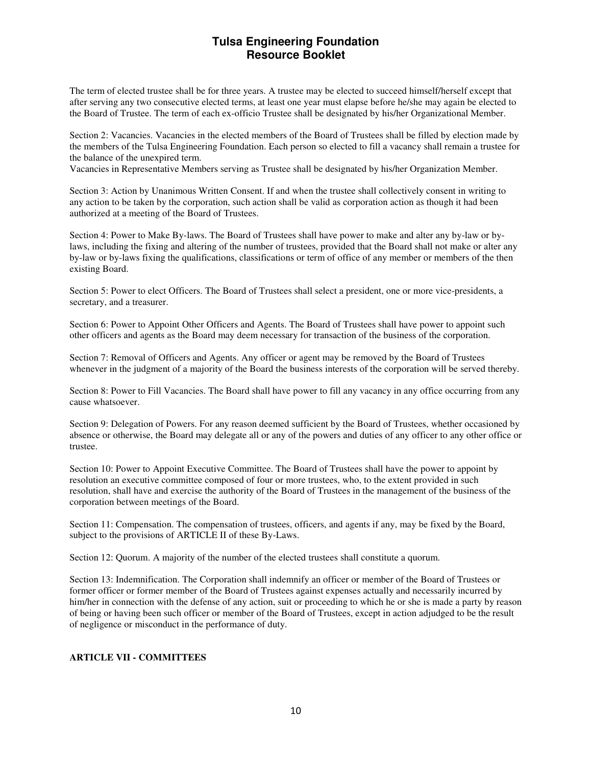The term of elected trustee shall be for three years. A trustee may be elected to succeed himself/herself except that after serving any two consecutive elected terms, at least one year must elapse before he/she may again be elected to the Board of Trustee. The term of each ex-officio Trustee shall be designated by his/her Organizational Member.

Section 2: Vacancies. Vacancies in the elected members of the Board of Trustees shall be filled by election made by the members of the Tulsa Engineering Foundation. Each person so elected to fill a vacancy shall remain a trustee for the balance of the unexpired term.

Vacancies in Representative Members serving as Trustee shall be designated by his/her Organization Member.

Section 3: Action by Unanimous Written Consent. If and when the trustee shall collectively consent in writing to any action to be taken by the corporation, such action shall be valid as corporation action as though it had been authorized at a meeting of the Board of Trustees.

Section 4: Power to Make By-laws. The Board of Trustees shall have power to make and alter any by-law or bylaws, including the fixing and altering of the number of trustees, provided that the Board shall not make or alter any by-law or by-laws fixing the qualifications, classifications or term of office of any member or members of the then existing Board.

Section 5: Power to elect Officers. The Board of Trustees shall select a president, one or more vice-presidents, a secretary, and a treasurer.

Section 6: Power to Appoint Other Officers and Agents. The Board of Trustees shall have power to appoint such other officers and agents as the Board may deem necessary for transaction of the business of the corporation.

Section 7: Removal of Officers and Agents. Any officer or agent may be removed by the Board of Trustees whenever in the judgment of a majority of the Board the business interests of the corporation will be served thereby.

Section 8: Power to Fill Vacancies. The Board shall have power to fill any vacancy in any office occurring from any cause whatsoever.

Section 9: Delegation of Powers. For any reason deemed sufficient by the Board of Trustees, whether occasioned by absence or otherwise, the Board may delegate all or any of the powers and duties of any officer to any other office or trustee.

Section 10: Power to Appoint Executive Committee. The Board of Trustees shall have the power to appoint by resolution an executive committee composed of four or more trustees, who, to the extent provided in such resolution, shall have and exercise the authority of the Board of Trustees in the management of the business of the corporation between meetings of the Board.

Section 11: Compensation. The compensation of trustees, officers, and agents if any, may be fixed by the Board, subject to the provisions of ARTICLE II of these By-Laws.

Section 12: Quorum. A majority of the number of the elected trustees shall constitute a quorum.

Section 13: Indemnification. The Corporation shall indemnify an officer or member of the Board of Trustees or former officer or former member of the Board of Trustees against expenses actually and necessarily incurred by him/her in connection with the defense of any action, suit or proceeding to which he or she is made a party by reason of being or having been such officer or member of the Board of Trustees, except in action adjudged to be the result of negligence or misconduct in the performance of duty.

#### **ARTICLE VII - COMMITTEES**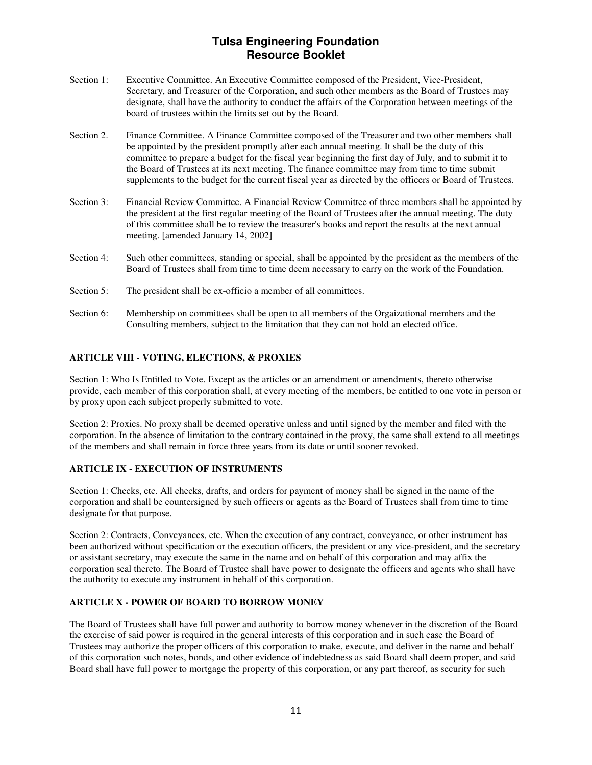- Section 1: Executive Committee. An Executive Committee composed of the President, Vice-President, Secretary, and Treasurer of the Corporation, and such other members as the Board of Trustees may designate, shall have the authority to conduct the affairs of the Corporation between meetings of the board of trustees within the limits set out by the Board.
- Section 2. Finance Committee. A Finance Committee composed of the Treasurer and two other members shall be appointed by the president promptly after each annual meeting. It shall be the duty of this committee to prepare a budget for the fiscal year beginning the first day of July, and to submit it to the Board of Trustees at its next meeting. The finance committee may from time to time submit supplements to the budget for the current fiscal year as directed by the officers or Board of Trustees.
- Section 3: Financial Review Committee. A Financial Review Committee of three members shall be appointed by the president at the first regular meeting of the Board of Trustees after the annual meeting. The duty of this committee shall be to review the treasurer's books and report the results at the next annual meeting. [amended January 14, 2002]
- Section 4: Such other committees, standing or special, shall be appointed by the president as the members of the Board of Trustees shall from time to time deem necessary to carry on the work of the Foundation.
- Section 5: The president shall be ex-officio a member of all committees.
- Section 6: Membership on committees shall be open to all members of the Orgaizational members and the Consulting members, subject to the limitation that they can not hold an elected office.

#### **ARTICLE VIII - VOTING, ELECTIONS, & PROXIES**

Section 1: Who Is Entitled to Vote. Except as the articles or an amendment or amendments, thereto otherwise provide, each member of this corporation shall, at every meeting of the members, be entitled to one vote in person or by proxy upon each subject properly submitted to vote.

Section 2: Proxies. No proxy shall be deemed operative unless and until signed by the member and filed with the corporation. In the absence of limitation to the contrary contained in the proxy, the same shall extend to all meetings of the members and shall remain in force three years from its date or until sooner revoked.

#### **ARTICLE IX - EXECUTION OF INSTRUMENTS**

Section 1: Checks, etc. All checks, drafts, and orders for payment of money shall be signed in the name of the corporation and shall be countersigned by such officers or agents as the Board of Trustees shall from time to time designate for that purpose.

Section 2: Contracts, Conveyances, etc. When the execution of any contract, conveyance, or other instrument has been authorized without specification or the execution officers, the president or any vice-president, and the secretary or assistant secretary, may execute the same in the name and on behalf of this corporation and may affix the corporation seal thereto. The Board of Trustee shall have power to designate the officers and agents who shall have the authority to execute any instrument in behalf of this corporation.

#### **ARTICLE X - POWER OF BOARD TO BORROW MONEY**

The Board of Trustees shall have full power and authority to borrow money whenever in the discretion of the Board the exercise of said power is required in the general interests of this corporation and in such case the Board of Trustees may authorize the proper officers of this corporation to make, execute, and deliver in the name and behalf of this corporation such notes, bonds, and other evidence of indebtedness as said Board shall deem proper, and said Board shall have full power to mortgage the property of this corporation, or any part thereof, as security for such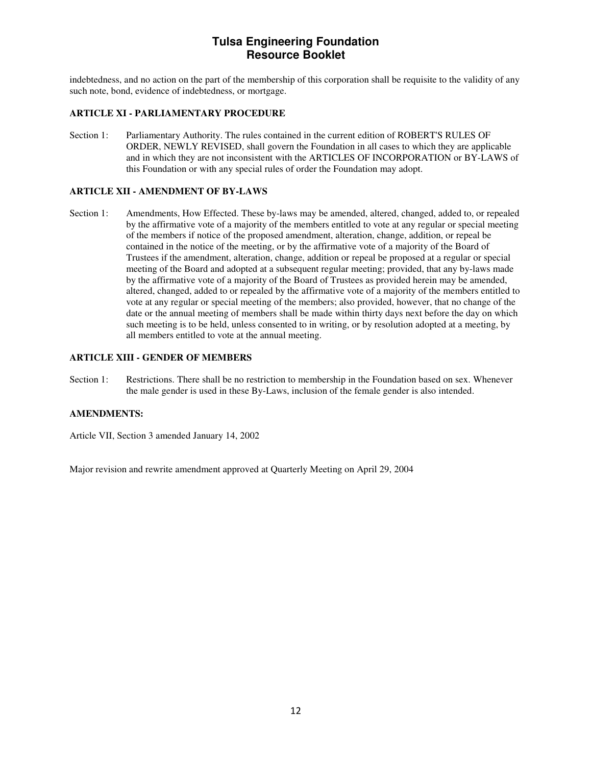indebtedness, and no action on the part of the membership of this corporation shall be requisite to the validity of any such note, bond, evidence of indebtedness, or mortgage.

#### **ARTICLE XI - PARLIAMENTARY PROCEDURE**

Section 1: Parliamentary Authority. The rules contained in the current edition of ROBERT'S RULES OF ORDER, NEWLY REVISED, shall govern the Foundation in all cases to which they are applicable and in which they are not inconsistent with the ARTICLES OF INCORPORATION or BY-LAWS of this Foundation or with any special rules of order the Foundation may adopt.

#### **ARTICLE XII - AMENDMENT OF BY-LAWS**

Section 1: Amendments, How Effected. These by-laws may be amended, altered, changed, added to, or repealed by the affirmative vote of a majority of the members entitled to vote at any regular or special meeting of the members if notice of the proposed amendment, alteration, change, addition, or repeal be contained in the notice of the meeting, or by the affirmative vote of a majority of the Board of Trustees if the amendment, alteration, change, addition or repeal be proposed at a regular or special meeting of the Board and adopted at a subsequent regular meeting; provided, that any by-laws made by the affirmative vote of a majority of the Board of Trustees as provided herein may be amended, altered, changed, added to or repealed by the affirmative vote of a majority of the members entitled to vote at any regular or special meeting of the members; also provided, however, that no change of the date or the annual meeting of members shall be made within thirty days next before the day on which such meeting is to be held, unless consented to in writing, or by resolution adopted at a meeting, by all members entitled to vote at the annual meeting.

#### **ARTICLE XIII - GENDER OF MEMBERS**

Section 1: Restrictions. There shall be no restriction to membership in the Foundation based on sex. Whenever the male gender is used in these By-Laws, inclusion of the female gender is also intended.

#### **AMENDMENTS:**

Article VII, Section 3 amended January 14, 2002

Major revision and rewrite amendment approved at Quarterly Meeting on April 29, 2004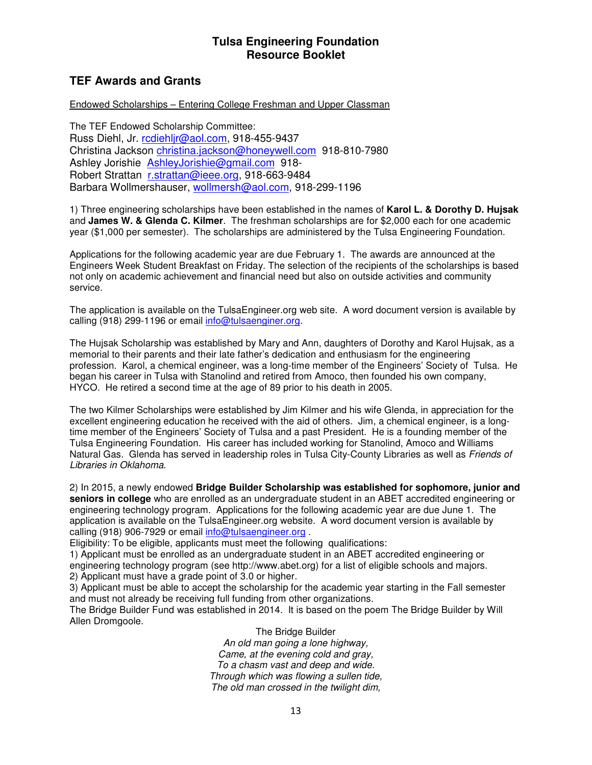# **TEF Awards and Grants**

### Endowed Scholarships – Entering College Freshman and Upper Classman

The TEF Endowed Scholarship Committee: Russ Diehl, Jr. rcdiehljr@aol.com, 918-455-9437 Christina Jackson christina.jackson@honeywell.com 918-810-7980 Ashley Jorishie AshleyJorishie@gmail.com 918- Robert Strattan r.strattan@ieee.org, 918-663-9484 Barbara Wollmershauser, wollmersh@aol.com, 918-299-1196

1) Three engineering scholarships have been established in the names of **Karol L. & Dorothy D. Hujsak** and **James W. & Glenda C. Kilmer**. The freshman scholarships are for \$2,000 each for one academic year (\$1,000 per semester). The scholarships are administered by the Tulsa Engineering Foundation.

Applications for the following academic year are due February 1. The awards are announced at the Engineers Week Student Breakfast on Friday. The selection of the recipients of the scholarships is based not only on academic achievement and financial need but also on outside activities and community service.

The application is available on the TulsaEngineer.org web site. A word document version is available by calling (918) 299-1196 or email info@tulsaenginer.org.

The Hujsak Scholarship was established by Mary and Ann, daughters of Dorothy and Karol Hujsak, as a memorial to their parents and their late father's dedication and enthusiasm for the engineering profession. Karol, a chemical engineer, was a long-time member of the Engineers' Society of Tulsa. He began his career in Tulsa with Stanolind and retired from Amoco, then founded his own company, HYCO. He retired a second time at the age of 89 prior to his death in 2005.

The two Kilmer Scholarships were established by Jim Kilmer and his wife Glenda, in appreciation for the excellent engineering education he received with the aid of others. Jim, a chemical engineer, is a longtime member of the Engineers' Society of Tulsa and a past President. He is a founding member of the Tulsa Engineering Foundation. His career has included working for Stanolind, Amoco and Williams Natural Gas. Glenda has served in leadership roles in Tulsa City-County Libraries as well as Friends of Libraries in Oklahoma.

2) In 2015, a newly endowed **Bridge Builder Scholarship was established for sophomore, junior and seniors in college** who are enrolled as an undergraduate student in an ABET accredited engineering or engineering technology program. Applications for the following academic year are due June 1. The application is available on the TulsaEngineer.org website. A word document version is available by calling (918) 906-7929 or email info@tulsaengineer.org .

Eligibility: To be eligible, applicants must meet the following qualifications:

1) Applicant must be enrolled as an undergraduate student in an ABET accredited engineering or engineering technology program (see http://www.abet.org) for a list of eligible schools and majors. 2) Applicant must have a grade point of 3.0 or higher.

3) Applicant must be able to accept the scholarship for the academic year starting in the Fall semester and must not already be receiving full funding from other organizations.

The Bridge Builder Fund was established in 2014. It is based on the poem The Bridge Builder by Will Allen Dromgoole.

> The Bridge Builder An old man going a lone highway, Came, at the evening cold and gray, To a chasm vast and deep and wide. Through which was flowing a sullen tide, The old man crossed in the twilight dim,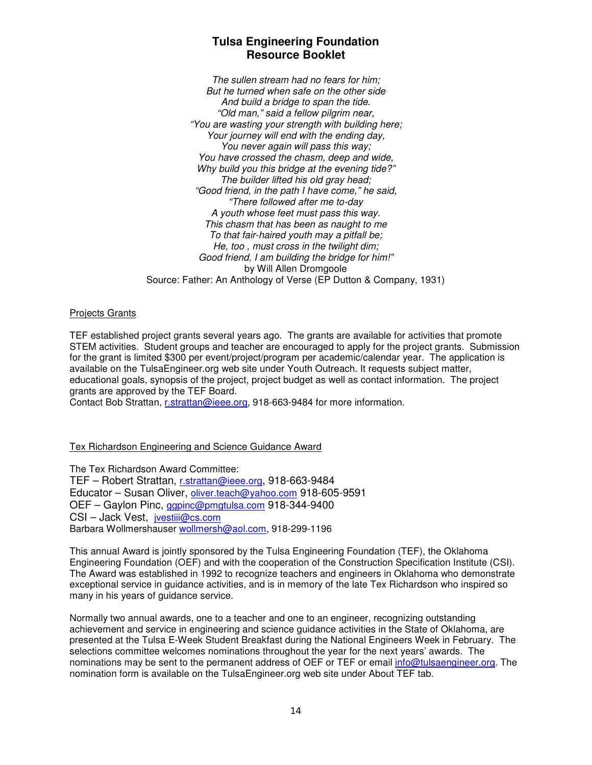The sullen stream had no fears for him; But he turned when safe on the other side And build a bridge to span the tide. "Old man," said a fellow pilgrim near, "You are wasting your strength with building here; Your journey will end with the ending day, You never again will pass this way; You have crossed the chasm, deep and wide, Why build you this bridge at the evening tide?" The builder lifted his old gray head; "Good friend, in the path I have come," he said, "There followed after me to-day A youth whose feet must pass this way. This chasm that has been as naught to me To that fair-haired youth may a pitfall be; He, too , must cross in the twilight dim; Good friend, I am building the bridge for him!" by Will Allen Dromgoole Source: Father: An Anthology of Verse (EP Dutton & Company, 1931)

### Projects Grants

TEF established project grants several years ago. The grants are available for activities that promote STEM activities. Student groups and teacher are encouraged to apply for the project grants. Submission for the grant is limited \$300 per event/project/program per academic/calendar year. The application is available on the TulsaEngineer.org web site under Youth Outreach. It requests subject matter, educational goals, synopsis of the project, project budget as well as contact information. The project grants are approved by the TEF Board.

Contact Bob Strattan, r.strattan@ieee.org, 918-663-9484 for more information.

### Tex Richardson Engineering and Science Guidance Award

The Tex Richardson Award Committee: TEF – Robert Strattan, r.strattan@ieee.org, 918-663-9484 Educator – Susan Oliver, oliver.teach@yahoo.com 918-605-9591 OEF – Gaylon Pinc, ggpinc@pmgtulsa.com 918-344-9400 CSI – Jack Vest, jvestiii@cs.com Barbara Wollmershauser wollmersh@aol.com, 918-299-1196

This annual Award is jointly sponsored by the Tulsa Engineering Foundation (TEF), the Oklahoma Engineering Foundation (OEF) and with the cooperation of the Construction Specification Institute (CSI). The Award was established in 1992 to recognize teachers and engineers in Oklahoma who demonstrate exceptional service in guidance activities, and is in memory of the late Tex Richardson who inspired so many in his years of guidance service.

Normally two annual awards, one to a teacher and one to an engineer, recognizing outstanding achievement and service in engineering and science guidance activities in the State of Oklahoma, are presented at the Tulsa E-Week Student Breakfast during the National Engineers Week in February. The selections committee welcomes nominations throughout the year for the next years' awards. The nominations may be sent to the permanent address of OEF or TEF or email info@tulsaengineer.org. The nomination form is available on the TulsaEngineer.org web site under About TEF tab.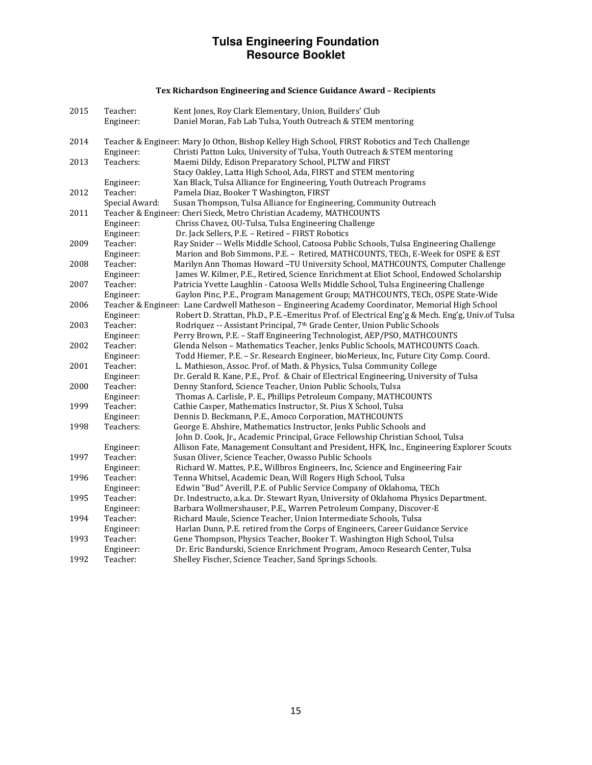### Tex Richardson Engineering and Science Guidance Award – Recipients

| 2015 | Teacher:                                                             | Kent Jones, Roy Clark Elementary, Union, Builders' Club                                            |
|------|----------------------------------------------------------------------|----------------------------------------------------------------------------------------------------|
|      | Engineer:                                                            | Daniel Moran, Fab Lab Tulsa, Youth Outreach & STEM mentoring                                       |
|      |                                                                      |                                                                                                    |
| 2014 |                                                                      | Teacher & Engineer: Mary Jo Othon, Bishop Kelley High School, FIRST Robotics and Tech Challenge    |
|      | Engineer:                                                            | Christi Patton Luks, University of Tulsa, Youth Outreach & STEM mentoring                          |
| 2013 | Teachers:                                                            | Maemi Dildy, Edison Preparatory School, PLTW and FIRST                                             |
|      |                                                                      | Stacy Oakley, Latta High School, Ada, FIRST and STEM mentoring                                     |
|      | Engineer:                                                            | Xan Black, Tulsa Alliance for Engineering, Youth Outreach Programs                                 |
| 2012 | Teacher:                                                             | Pamela Diaz, Booker T Washington, FIRST                                                            |
|      | Special Award:                                                       | Susan Thompson, Tulsa Alliance for Engineering, Community Outreach                                 |
| 2011 | Teacher & Engineer: Cheri Sieck, Metro Christian Academy, MATHCOUNTS |                                                                                                    |
|      | Engineer:                                                            | Chriss Chavez, OU-Tulsa, Tulsa Engineering Challenge                                               |
|      | Engineer:                                                            | Dr. Jack Sellers, P.E. - Retired - FIRST Robotics                                                  |
| 2009 | Teacher:                                                             | Ray Snider -- Wells Middle School, Catoosa Public Schools, Tulsa Engineering Challenge             |
|      | Engineer:                                                            | Marion and Bob Simmons, P.E. - Retired, MATHCOUNTS, TECh, E-Week for OSPE & EST                    |
| 2008 | Teacher:                                                             | Marilyn Ann Thomas Howard -TU University School, MATHCOUNTS, Computer Challenge                    |
|      | Engineer:                                                            | James W. Kilmer, P.E., Retired, Science Enrichment at Eliot School, Endowed Scholarship            |
| 2007 | Teacher:                                                             | Patricia Yvette Laughlin - Catoosa Wells Middle School, Tulsa Engineering Challenge                |
|      | Engineer:                                                            | Gaylon Pinc, P.E., Program Management Group; MATHCOUNTS, TECh, OSPE State-Wide                     |
| 2006 |                                                                      | Teacher & Engineer: Lane Cardwell Matheson - Engineering Academy Coordinator, Memorial High School |
|      | Engineer:                                                            | Robert D. Strattan, Ph.D., P.E.-Emeritus Prof. of Electrical Eng'g & Mech. Eng'g, Univ.of Tulsa    |
| 2003 | Teacher:                                                             | Rodriquez -- Assistant Principal, 7 <sup>th</sup> Grade Center, Union Public Schools               |
|      | Engineer:                                                            | Perry Brown, P.E. - Staff Engineering Technologist, AEP/PSO, MATHCOUNTS                            |
| 2002 | Teacher:                                                             | Glenda Nelson - Mathematics Teacher, Jenks Public Schools, MATHCOUNTS Coach.                       |
|      | Engineer:                                                            | Todd Hiemer, P.E. - Sr. Research Engineer, bioMerieux, Inc, Future City Comp. Coord.               |
| 2001 | Teacher:                                                             | L. Mathieson, Assoc. Prof. of Math. & Physics, Tulsa Community College                             |
|      | Engineer:                                                            | Dr. Gerald R. Kane, P.E., Prof. & Chair of Electrical Engineering, University of Tulsa             |
| 2000 | Teacher:                                                             | Denny Stanford, Science Teacher, Union Public Schools, Tulsa                                       |
|      | Engineer:                                                            | Thomas A. Carlisle, P. E., Phillips Petroleum Company, MATHCOUNTS                                  |
| 1999 | Teacher:                                                             | Cathie Casper, Mathematics Instructor, St. Pius X School, Tulsa                                    |
|      | Engineer:                                                            | Dennis D. Beckmann, P.E., Amoco Corporation, MATHCOUNTS                                            |
| 1998 | Teachers:                                                            | George E. Abshire, Mathematics Instructor, Jenks Public Schools and                                |
|      |                                                                      | John D. Cook, Jr., Academic Principal, Grace Fellowship Christian School, Tulsa                    |
|      | Engineer:                                                            | Allison Fate, Management Consultant and President, HFK, Inc., Engineering Explorer Scouts          |
| 1997 | Teacher:                                                             | Susan Oliver, Science Teacher, Owasso Public Schools                                               |
|      | Engineer:                                                            | Richard W. Mattes, P.E., Willbros Engineers, Inc, Science and Engineering Fair                     |
| 1996 | Teacher:                                                             | Tenna Whitsel, Academic Dean, Will Rogers High School, Tulsa                                       |
|      | Engineer:                                                            | Edwin "Bud" Averill, P.E. of Public Service Company of Oklahoma, TECh                              |
| 1995 | Teacher:                                                             | Dr. Indestructo, a.k.a. Dr. Stewart Ryan, University of Oklahoma Physics Department.               |
|      | Engineer:                                                            | Barbara Wollmershauser, P.E., Warren Petroleum Company, Discover-E                                 |
| 1994 | Teacher:                                                             | Richard Maule, Science Teacher, Union Intermediate Schools, Tulsa                                  |
|      | Engineer:                                                            | Harlan Dunn, P.E. retired from the Corps of Engineers, Career Guidance Service                     |
| 1993 | Teacher:                                                             | Gene Thompson, Physics Teacher, Booker T. Washington High School, Tulsa                            |
|      | Engineer:                                                            | Dr. Eric Bandurski, Science Enrichment Program, Amoco Research Center, Tulsa                       |
| 1992 | Teacher:                                                             | Shelley Fischer, Science Teacher, Sand Springs Schools.                                            |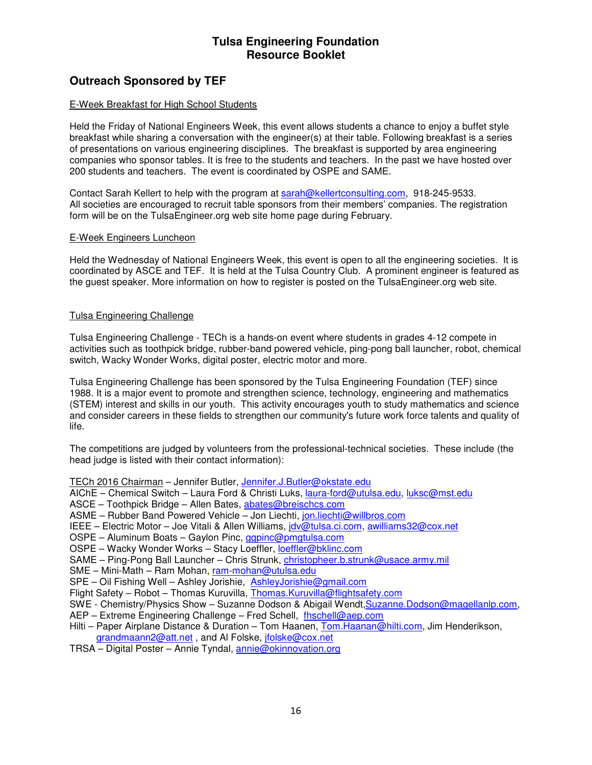# **Outreach Sponsored by TEF**

### E-Week Breakfast for High School Students

Held the Friday of National Engineers Week, this event allows students a chance to enjoy a buffet style breakfast while sharing a conversation with the engineer(s) at their table. Following breakfast is a series of presentations on various engineering disciplines. The breakfast is supported by area engineering companies who sponsor tables. It is free to the students and teachers. In the past we have hosted over 200 students and teachers. The event is coordinated by OSPE and SAME.

Contact Sarah Kellert to help with the program at sarah@kellertconsulting.com, 918-245-9533. All societies are encouraged to recruit table sponsors from their members' companies. The registration form will be on the TulsaEngineer.org web site home page during February.

#### E-Week Engineers Luncheon

Held the Wednesday of National Engineers Week, this event is open to all the engineering societies. It is coordinated by ASCE and TEF. It is held at the Tulsa Country Club. A prominent engineer is featured as the guest speaker. More information on how to register is posted on the TulsaEngineer.org web site.

### Tulsa Engineering Challenge

Tulsa Engineering Challenge - TECh is a hands-on event where students in grades 4-12 compete in activities such as toothpick bridge, rubber-band powered vehicle, ping-pong ball launcher, robot, chemical switch, Wacky Wonder Works, digital poster, electric motor and more.

Tulsa Engineering Challenge has been sponsored by the Tulsa Engineering Foundation (TEF) since 1988. It is a major event to promote and strengthen science, technology, engineering and mathematics (STEM) interest and skills in our youth. This activity encourages youth to study mathematics and science and consider careers in these fields to strengthen our community's future work force talents and quality of life.

The competitions are judged by volunteers from the professional-technical societies. These include (the head judge is listed with their contact information):

TECh 2016 Chairman – Jennifer Butler, Jennifer.J.Butler@okstate.edu

- AIChE Chemical Switch Laura Ford & Christi Luks, laura-ford@utulsa.edu, luksc@mst.edu
- ASCE Toothpick Bridge Allen Bates, abates@breischcs.com
- ASME Rubber Band Powered Vehicle Jon Liechti, jon.liechti@willbros.com
- IEEE Electric Motor Joe Vitali & Allen Williams, jdv@tulsa.ci.com, awilliams32@cox.net
- OSPE Aluminum Boats Gaylon Pinc, ggpinc@pmgtulsa.com
- OSPE Wacky Wonder Works Stacy Loeffler, loeffler@bklinc.com
- SAME Ping-Pong Ball Launcher Chris Strunk, christopheer.b.strunk@usace.army.mil

SME – Mini-Math – Ram Mohan, ram-mohan@utulsa.edu

SPE – Oil Fishing Well – Ashley Jorishie, AshleyJorishie@gmail.com

Flight Safety – Robot – Thomas Kuruvilla, Thomas.Kuruvilla@flightsafety.com

SWE - Chemistry/Physics Show – Suzanne Dodson & Abigail Wendt,Suzanne.Dodson@magellanlp.com,

AEP - Extreme Engineering Challenge - Fred Schell, fhschell@aep.com

- Hilti Paper Airplane Distance & Duration Tom Haanen, Tom. Haanan@hilti.com, Jim Henderikson, grandmaann2@att.net, and Al Folske, jfolske@cox.net
- TRSA Digital Poster Annie Tyndal, annie@okinnovation.org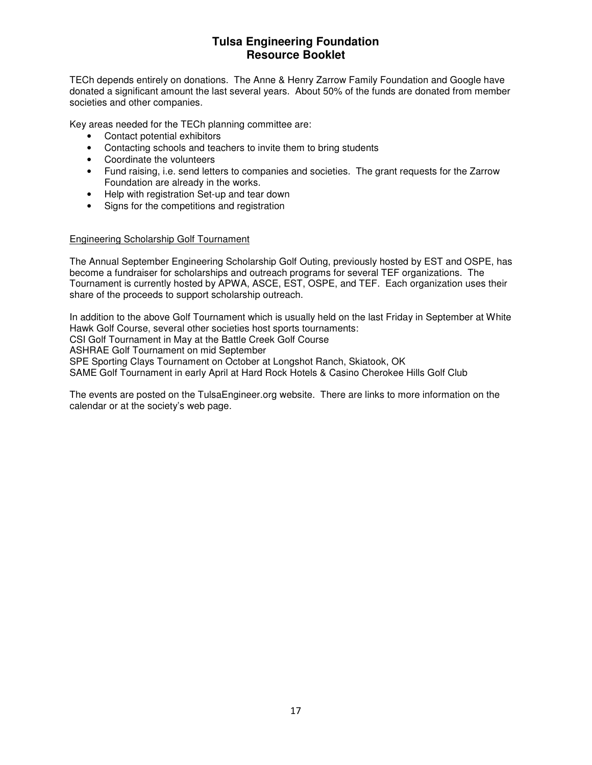TECh depends entirely on donations. The Anne & Henry Zarrow Family Foundation and Google have donated a significant amount the last several years. About 50% of the funds are donated from member societies and other companies.

Key areas needed for the TECh planning committee are:

- Contact potential exhibitors
- Contacting schools and teachers to invite them to bring students
- Coordinate the volunteers
- Fund raising, i.e. send letters to companies and societies. The grant requests for the Zarrow Foundation are already in the works.
- Help with registration Set-up and tear down
- Signs for the competitions and registration

### Engineering Scholarship Golf Tournament

The Annual September Engineering Scholarship Golf Outing, previously hosted by EST and OSPE, has become a fundraiser for scholarships and outreach programs for several TEF organizations. The Tournament is currently hosted by APWA, ASCE, EST, OSPE, and TEF. Each organization uses their share of the proceeds to support scholarship outreach.

In addition to the above Golf Tournament which is usually held on the last Friday in September at White Hawk Golf Course, several other societies host sports tournaments: CSI Golf Tournament in May at the Battle Creek Golf Course ASHRAE Golf Tournament on mid September SPE Sporting Clays Tournament on October at Longshot Ranch, Skiatook, OK SAME Golf Tournament in early April at Hard Rock Hotels & Casino Cherokee Hills Golf Club

The events are posted on the TulsaEngineer.org website. There are links to more information on the calendar or at the society's web page.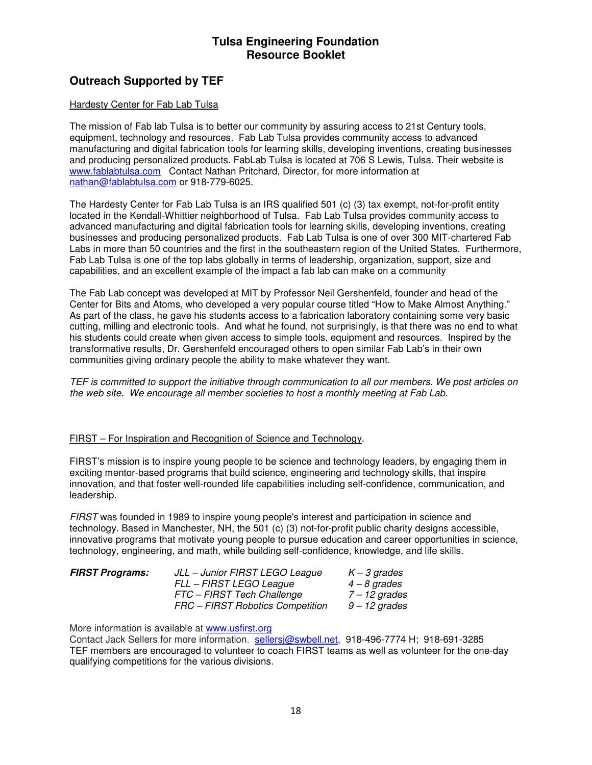# **Outreach Supported by TEF**

### Hardesty Center for Fab Lab Tulsa

The mission of Fab lab Tulsa is to better our community by assuring access to 21st Century tools, equipment, technology and resources. Fab Lab Tulsa provides community access to advanced manufacturing and digital fabrication tools for learning skills, developing inventions, creating businesses and producing personalized products. FabLab Tulsa is located at 706 S Lewis, Tulsa. Their website is www.fablabtulsa.com Contact Nathan Pritchard, Director, for more information at nathan@fablabtulsa.com or 918-779-6025.

The Hardesty Center for Fab Lab Tulsa is an IRS qualified 501 (c) (3) tax exempt, not-for-profit entity located in the Kendall-Whittier neighborhood of Tulsa. Fab Lab Tulsa provides community access to advanced manufacturing and digital fabrication tools for learning skills, developing inventions, creating businesses and producing personalized products. Fab Lab Tulsa is one of over 300 MIT-chartered Fab Labs in more than 50 countries and the first in the southeastern region of the United States. Furthermore, Fab Lab Tulsa is one of the top labs globally in terms of leadership, organization, support, size and capabilities, and an excellent example of the impact a fab lab can make on a community

The Fab Lab concept was developed at MIT by Professor Neil Gershenfeld, founder and head of the Center for Bits and Atoms, who developed a very popular course titled "How to Make Almost Anything." As part of the class, he gave his students access to a fabrication laboratory containing some very basic cutting, milling and electronic tools. And what he found, not surprisingly, is that there was no end to what his students could create when given access to simple tools, equipment and resources. Inspired by the transformative results, Dr. Gershenfeld encouraged others to open similar Fab Lab's in their own communities giving ordinary people the ability to make whatever they want.

TEF is committed to support the initiative through communication to all our members. We post articles on the web site. We encourage all member societies to host a monthly meeting at Fab Lab.

#### FIRST – For Inspiration and Recognition of Science and Technology.

FIRST's mission is to inspire young people to be science and technology leaders, by engaging them in exciting mentor-based programs that build science, engineering and technology skills, that inspire innovation, and that foster well-rounded life capabilities including self-confidence, communication, and leadership.

FIRST was founded in 1989 to inspire young people's interest and participation in science and technology. Based in Manchester, NH, the 501 (c) (3) not-for-profit public charity designs accessible, innovative programs that motivate young people to pursue education and career opportunities in science, technology, engineering, and math, while building self-confidence, knowledge, and life skills.

| <b>FIRST Programs:</b> | JLL – Junior FIRST LEGO League<br>FLL – FIRST LEGO League      | $K - 3$ grades<br>$4 - 8$ grades |
|------------------------|----------------------------------------------------------------|----------------------------------|
|                        | FTC - FIRST Tech Challenge<br>FRC - FIRST Robotics Competition | 7 – 12 grades<br>9 – 12 grades   |

More information is available at www.usfirst.org

Contact Jack Sellers for more information. sellersj@swbell.net, 918-496-7774 H; 918-691-3285 TEF members are encouraged to volunteer to coach FIRST teams as well as volunteer for the one-day qualifying competitions for the various divisions.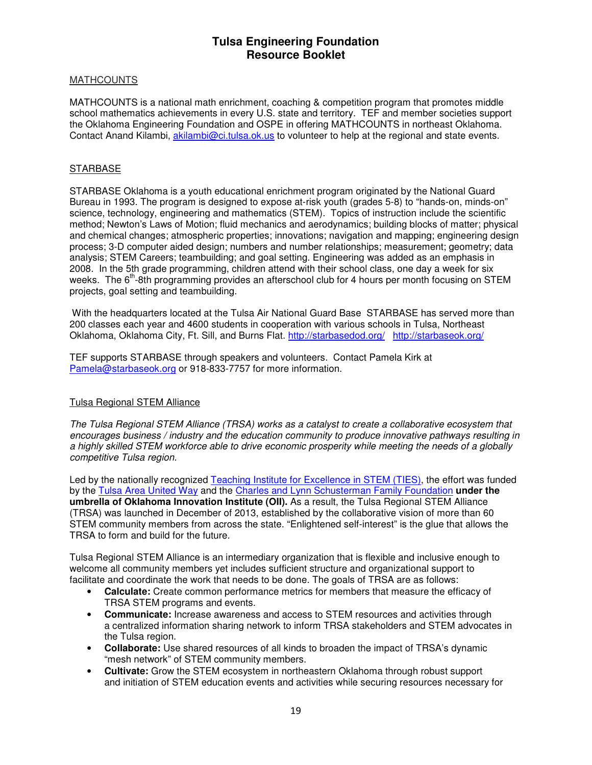### **MATHCOUNTS**

MATHCOUNTS is a national math enrichment, coaching & competition program that promotes middle school mathematics achievements in every U.S. state and territory. TEF and member societies support the Oklahoma Engineering Foundation and OSPE in offering MATHCOUNTS in northeast Oklahoma. Contact Anand Kilambi, akilambi@ci.tulsa.ok.us to volunteer to help at the regional and state events.

### **STARBASE**

STARBASE Oklahoma is a youth educational enrichment program originated by the National Guard Bureau in 1993. The program is designed to expose at-risk youth (grades 5-8) to "hands-on, minds-on" science, technology, engineering and mathematics (STEM). Topics of instruction include the scientific method; Newton's Laws of Motion; fluid mechanics and aerodynamics; building blocks of matter; physical and chemical changes; atmospheric properties; innovations; navigation and mapping; engineering design process; 3-D computer aided design; numbers and number relationships; measurement; geometry; data analysis; STEM Careers; teambuilding; and goal setting. Engineering was added as an emphasis in 2008. In the 5th grade programming, children attend with their school class, one day a week for six weeks. The  $6<sup>th</sup>$ -8th programming provides an afterschool club for 4 hours per month focusing on STEM projects, goal setting and teambuilding.

 With the headquarters located at the Tulsa Air National Guard Base STARBASE has served more than 200 classes each year and 4600 students in cooperation with various schools in Tulsa, Northeast Oklahoma, Oklahoma City, Ft. Sill, and Burns Flat. http://starbasedod.org/ http://starbaseok.org/

TEF supports STARBASE through speakers and volunteers. Contact Pamela Kirk at Pamela@starbaseok.org or 918-833-7757 for more information.

#### Tulsa Regional STEM Alliance

The Tulsa Regional STEM Alliance (TRSA) works as a catalyst to create a collaborative ecosystem that encourages business / industry and the education community to produce innovative pathways resulting in a highly skilled STEM workforce able to drive economic prosperity while meeting the needs of a globally competitive Tulsa region.

Led by the nationally recognized Teaching Institute for Excellence in STEM (TIES), the effort was funded by the Tulsa Area United Way and the Charles and Lynn Schusterman Family Foundation **under the umbrella of Oklahoma Innovation Institute (OII).** As a result, the Tulsa Regional STEM Alliance (TRSA) was launched in December of 2013, established by the collaborative vision of more than 60 STEM community members from across the state. "Enlightened self-interest" is the glue that allows the TRSA to form and build for the future.

Tulsa Regional STEM Alliance is an intermediary organization that is flexible and inclusive enough to welcome all community members yet includes sufficient structure and organizational support to facilitate and coordinate the work that needs to be done. The goals of TRSA are as follows:

- **Calculate:** Create common performance metrics for members that measure the efficacy of TRSA STEM programs and events.
- **Communicate:** Increase awareness and access to STEM resources and activities through a centralized information sharing network to inform TRSA stakeholders and STEM advocates in the Tulsa region.
- **Collaborate:** Use shared resources of all kinds to broaden the impact of TRSA's dynamic "mesh network" of STEM community members.
- **Cultivate:** Grow the STEM ecosystem in northeastern Oklahoma through robust support and initiation of STEM education events and activities while securing resources necessary for